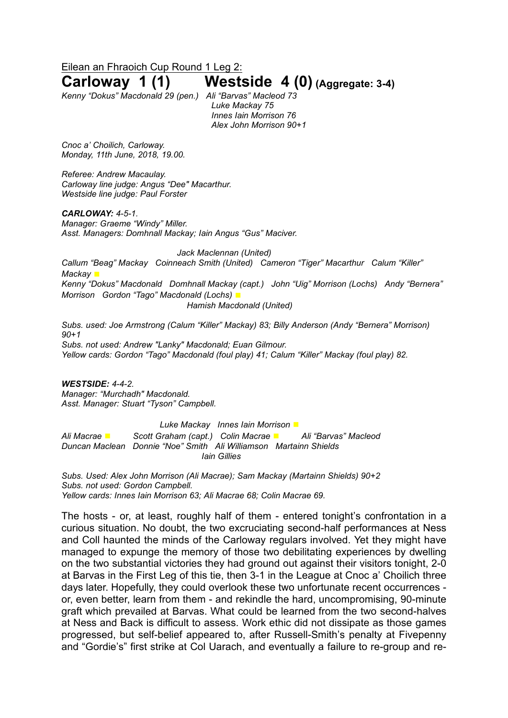Eilean an Fhraoich Cup Round 1 Leg 2:

# **Carloway 1 (1) Westside 4 (0) (Aggregate: 3-4)**

*Kenny "Dokus" Macdonald 29 (pen.) Ali "Barvas" Macleod 73*

*Luke Mackay 75 Innes Iain Morrison 76 Alex John Morrison 90+1*

*Cnoc a' Choilich, Carloway. Monday, 11th June, 2018, 19.00.*

*Referee: Andrew Macaulay. Carloway line judge: Angus "Dee" Macarthur. Westside line judge: Paul Forster*

*CARLOWAY: 4-5-1. Manager: Graeme "Windy" Miller. Asst. Managers: Domhnall Mackay; Iain Angus "Gus" Maciver.*

*Jack Maclennan (United) Callum "Beag" Mackay Coinneach Smith (United) Cameron "Tiger" Macarthur Calum "Killer" Mackay* ◼ *Kenny "Dokus" Macdonald Domhnall Mackay (capt.) John "Uig" Morrison (Lochs) Andy "Bernera" Morrison Gordon "Tago" Macdonald (Lochs)* ◼ *Hamish Macdonald (United)*

*Subs. used: Joe Armstrong (Calum "Killer" Mackay) 83; Billy Anderson (Andy "Bernera" Morrison) 90+1 Subs. not used: Andrew "Lanky" Macdonald; Euan Gilmour. Yellow cards: Gordon "Tago" Macdonald (foul play) 41; Calum "Killer" Mackay (foul play) 82.*

*WESTSIDE: 4-4-2. Manager: "Murchadh" Macdonald. Asst. Manager: Stuart "Tyson" Campbell.*

*Luke Mackay Innes Iain Morrison* ◼ *Ali Macrae* ◼ *Scott Graham (capt.) Colin Macrae* ◼ *Ali "Barvas" Macleod Duncan Maclean Donnie "Noe" Smith Ali Williamson Martainn Shields Iain Gillies*

*Subs. Used: Alex John Morrison (Ali Macrae); Sam Mackay (Martainn Shields) 90+2 Subs. not used: Gordon Campbell. Yellow cards: Innes Iain Morrison 63; Ali Macrae 68; Colin Macrae 69.*

The hosts - or, at least, roughly half of them - entered tonight's confrontation in a curious situation. No doubt, the two excruciating second-half performances at Ness and Coll haunted the minds of the Carloway regulars involved. Yet they might have managed to expunge the memory of those two debilitating experiences by dwelling on the two substantial victories they had ground out against their visitors tonight, 2-0 at Barvas in the First Leg of this tie, then 3-1 in the League at Cnoc a' Choilich three days later. Hopefully, they could overlook these two unfortunate recent occurrences or, even better, learn from them - and rekindle the hard, uncompromising, 90-minute graft which prevailed at Barvas. What could be learned from the two second-halves at Ness and Back is difficult to assess. Work ethic did not dissipate as those games progressed, but self-belief appeared to, after Russell-Smith's penalty at Fivepenny and "Gordie's" first strike at Col Uarach, and eventually a failure to re-group and re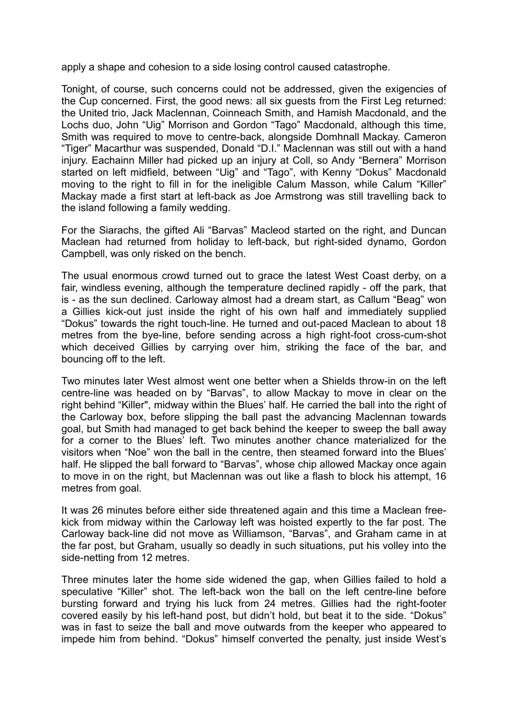apply a shape and cohesion to a side losing control caused catastrophe.

Tonight, of course, such concerns could not be addressed, given the exigencies of the Cup concerned. First, the good news: all six guests from the First Leg returned: the United trio, Jack Maclennan, Coinneach Smith, and Hamish Macdonald, and the Lochs duo, John "Uig" Morrison and Gordon "Tago" Macdonald, although this time, Smith was required to move to centre-back, alongside Domhnall Mackay. Cameron "Tiger" Macarthur was suspended, Donald "D.I." Maclennan was still out with a hand injury. Eachainn Miller had picked up an injury at Coll, so Andy "Bernera" Morrison started on left midfield, between "Uig" and "Tago", with Kenny "Dokus" Macdonald moving to the right to fill in for the ineligible Calum Masson, while Calum "Killer" Mackay made a first start at left-back as Joe Armstrong was still travelling back to the island following a family wedding.

For the Siarachs, the gifted Ali "Barvas" Macleod started on the right, and Duncan Maclean had returned from holiday to left-back, but right-sided dynamo, Gordon Campbell, was only risked on the bench.

The usual enormous crowd turned out to grace the latest West Coast derby, on a fair, windless evening, although the temperature declined rapidly - off the park, that is - as the sun declined. Carloway almost had a dream start, as Callum "Beag" won a Gillies kick-out just inside the right of his own half and immediately supplied "Dokus" towards the right touch-line. He turned and out-paced Maclean to about 18 metres from the bye-line, before sending across a high right-foot cross-cum-shot which deceived Gillies by carrying over him, striking the face of the bar, and bouncing off to the left.

Two minutes later West almost went one better when a Shields throw-in on the left centre-line was headed on by "Barvas", to allow Mackay to move in clear on the right behind "Killer", midway within the Blues' half. He carried the ball into the right of the Carloway box, before slipping the ball past the advancing Maclennan towards goal, but Smith had managed to get back behind the keeper to sweep the ball away for a corner to the Blues' left. Two minutes another chance materialized for the visitors when "Noe" won the ball in the centre, then steamed forward into the Blues' half. He slipped the ball forward to "Barvas", whose chip allowed Mackay once again to move in on the right, but Maclennan was out like a flash to block his attempt, 16 metres from goal.

It was 26 minutes before either side threatened again and this time a Maclean freekick from midway within the Carloway left was hoisted expertly to the far post. The Carloway back-line did not move as Williamson, "Barvas", and Graham came in at the far post, but Graham, usually so deadly in such situations, put his volley into the side-netting from 12 metres.

Three minutes later the home side widened the gap, when Gillies failed to hold a speculative "Killer" shot. The left-back won the ball on the left centre-line before bursting forward and trying his luck from 24 metres. Gillies had the right-footer covered easily by his left-hand post, but didn't hold, but beat it to the side. "Dokus" was in fast to seize the ball and move outwards from the keeper who appeared to impede him from behind. "Dokus" himself converted the penalty, just inside West's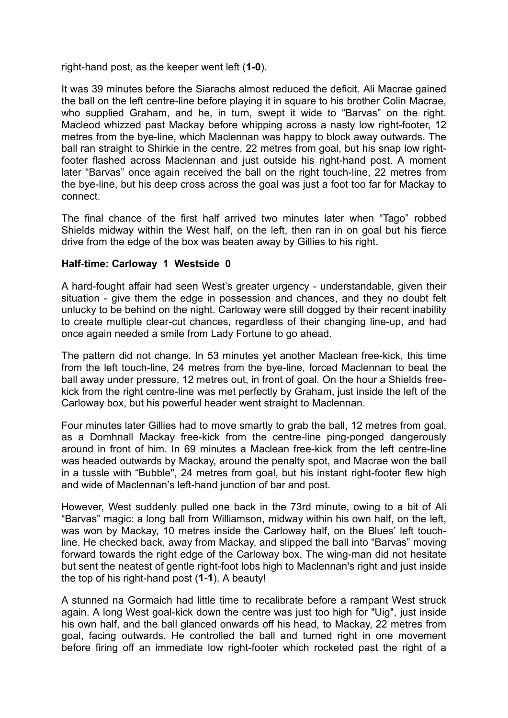right-hand post, as the keeper went left (**1-0**).

It was 39 minutes before the Siarachs almost reduced the deficit. Ali Macrae gained the ball on the left centre-line before playing it in square to his brother Colin Macrae, who supplied Graham, and he, in turn, swept it wide to "Barvas" on the right. Macleod whizzed past Mackay before whipping across a nasty low right-footer, 12 metres from the bye-line, which Maclennan was happy to block away outwards. The ball ran straight to Shirkie in the centre, 22 metres from goal, but his snap low rightfooter flashed across Maclennan and just outside his right-hand post. A moment later "Barvas" once again received the ball on the right touch-line, 22 metres from the bye-line, but his deep cross across the goal was just a foot too far for Mackay to connect.

The final chance of the first half arrived two minutes later when "Tago" robbed Shields midway within the West half, on the left, then ran in on goal but his fierce drive from the edge of the box was beaten away by Gillies to his right.

## **Half-time: Carloway 1 Westside 0**

A hard-fought affair had seen West's greater urgency - understandable, given their situation - give them the edge in possession and chances, and they no doubt felt unlucky to be behind on the night. Carloway were still dogged by their recent inability to create multiple clear-cut chances, regardless of their changing line-up, and had once again needed a smile from Lady Fortune to go ahead.

The pattern did not change. In 53 minutes yet another Maclean free-kick, this time from the left touch-line, 24 metres from the bye-line, forced Maclennan to beat the ball away under pressure, 12 metres out, in front of goal. On the hour a Shields freekick from the right centre-line was met perfectly by Graham, just inside the left of the Carloway box, but his powerful header went straight to Maclennan.

Four minutes later Gillies had to move smartly to grab the ball, 12 metres from goal, as a Domhnall Mackay free-kick from the centre-line ping-ponged dangerously around in front of him. In 69 minutes a Maclean free-kick from the left centre-line was headed outwards by Mackay, around the penalty spot, and Macrae won the ball in a tussle with "Bubble", 24 metres from goal, but his instant right-footer flew high and wide of Maclennan's left-hand junction of bar and post.

However, West suddenly pulled one back in the 73rd minute, owing to a bit of Ali "Barvas" magic: a long ball from Williamson, midway within his own half, on the left, was won by Mackay, 10 metres inside the Carloway half, on the Blues' left touchline. He checked back, away from Mackay, and slipped the ball into "Barvas" moving forward towards the right edge of the Carloway box. The wing-man did not hesitate but sent the neatest of gentle right-foot lobs high to Maclennan's right and just inside the top of his right-hand post (**1-1**). A beauty!

A stunned na Gormaich had little time to recalibrate before a rampant West struck again. A long West goal-kick down the centre was just too high for "Uig", just inside his own half, and the ball glanced onwards off his head, to Mackay, 22 metres from goal, facing outwards. He controlled the ball and turned right in one movement before firing off an immediate low right-footer which rocketed past the right of a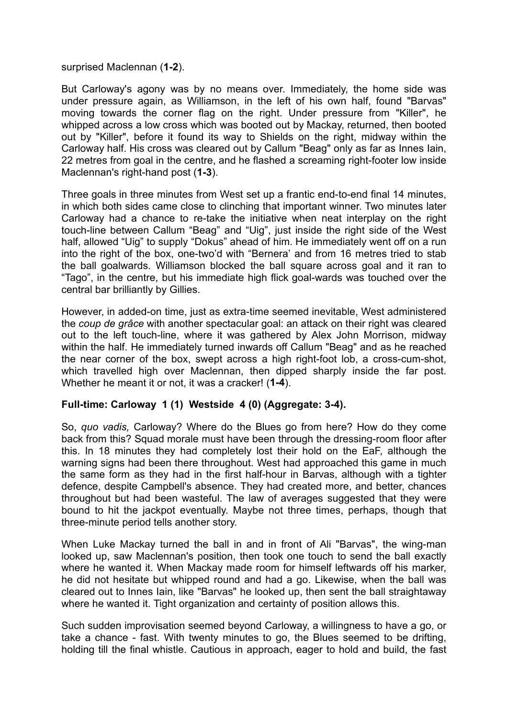## surprised Maclennan (**1-2**).

But Carloway's agony was by no means over. Immediately, the home side was under pressure again, as Williamson, in the left of his own half, found "Barvas" moving towards the corner flag on the right. Under pressure from "Killer", he whipped across a low cross which was booted out by Mackay, returned, then booted out by "Killer", before it found its way to Shields on the right, midway within the Carloway half. His cross was cleared out by Callum "Beag" only as far as Innes Iain, 22 metres from goal in the centre, and he flashed a screaming right-footer low inside Maclennan's right-hand post (**1-3**).

Three goals in three minutes from West set up a frantic end-to-end final 14 minutes, in which both sides came close to clinching that important winner. Two minutes later Carloway had a chance to re-take the initiative when neat interplay on the right touch-line between Callum "Beag" and "Uig", just inside the right side of the West half, allowed "Uig" to supply "Dokus" ahead of him. He immediately went off on a run into the right of the box, one-two'd with "Bernera' and from 16 metres tried to stab the ball goalwards. Williamson blocked the ball square across goal and it ran to "Tago", in the centre, but his immediate high flick goal-wards was touched over the central bar brilliantly by Gillies.

However, in added-on time, just as extra-time seemed inevitable, West administered the *coup de grâce* with another spectacular goal: an attack on their right was cleared out to the left touch-line, where it was gathered by Alex John Morrison, midway within the half. He immediately turned inwards off Callum "Beag" and as he reached the near corner of the box, swept across a high right-foot lob, a cross-cum-shot, which travelled high over Maclennan, then dipped sharply inside the far post. Whether he meant it or not, it was a cracker! (**1-4**).

## **Full-time: Carloway 1 (1) Westside 4 (0) (Aggregate: 3-4).**

So, *quo vadis,* Carloway? Where do the Blues go from here? How do they come back from this? Squad morale must have been through the dressing-room floor after this. In 18 minutes they had completely lost their hold on the EaF, although the warning signs had been there throughout. West had approached this game in much the same form as they had in the first half-hour in Barvas, although with a tighter defence, despite Campbell's absence. They had created more, and better, chances throughout but had been wasteful. The law of averages suggested that they were bound to hit the jackpot eventually. Maybe not three times, perhaps, though that three-minute period tells another story.

When Luke Mackay turned the ball in and in front of Ali "Barvas", the wing-man looked up, saw Maclennan's position, then took one touch to send the ball exactly where he wanted it. When Mackay made room for himself leftwards off his marker, he did not hesitate but whipped round and had a go. Likewise, when the ball was cleared out to Innes Iain, like "Barvas" he looked up, then sent the ball straightaway where he wanted it. Tight organization and certainty of position allows this.

Such sudden improvisation seemed beyond Carloway, a willingness to have a go, or take a chance - fast. With twenty minutes to go, the Blues seemed to be drifting, holding till the final whistle. Cautious in approach, eager to hold and build, the fast